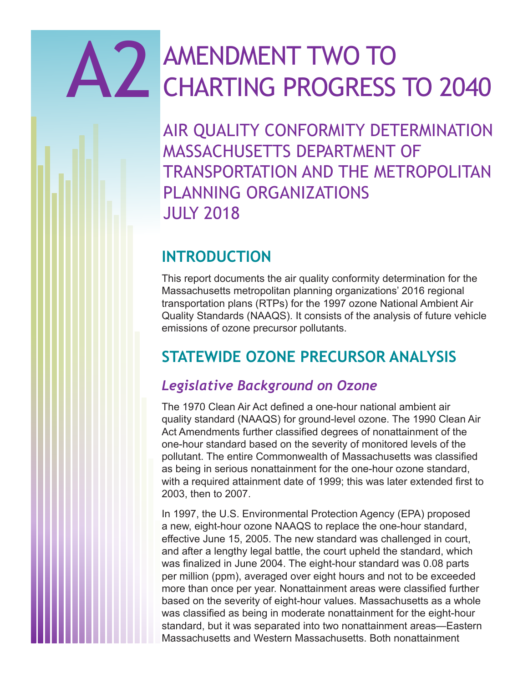# A2 AMENDMENT TWO TO CHARTING PROGRESS TO 2040

AIR QUALITY CONFORMITY DETERMINATION MASSACHUSETTS DEPARTMENT OF TRANSPORTATION AND THE METROPOLITAN PLANNING ORGANIZATIONS JULY 2018

# **INTRODUCTION**

This report documents the air quality conformity determination for the Massachusetts metropolitan planning organizations' 2016 regional transportation plans (RTPs) for the 1997 ozone National Ambient Air Quality Standards (NAAQS). It consists of the analysis of future vehicle emissions of ozone precursor pollutants.

# **STATEWIDE OZONE PRECURSOR ANALYSIS**

## *Legislative Background on Ozone*

The 1970 Clean Air Act defined a one-hour national ambient air quality standard (NAAQS) for ground-level ozone. The 1990 Clean Air Act Amendments further classified degrees of nonattainment of the one-hour standard based on the severity of monitored levels of the pollutant. The entire Commonwealth of Massachusetts was classified as being in serious nonattainment for the one-hour ozone standard, with a required attainment date of 1999; this was later extended first to 2003, then to 2007.

In 1997, the U.S. Environmental Protection Agency (EPA) proposed a new, eight-hour ozone NAAQS to replace the one-hour standard, effective June 15, 2005. The new standard was challenged in court, and after a lengthy legal battle, the court upheld the standard, which was finalized in June 2004. The eight-hour standard was 0.08 parts per million (ppm), averaged over eight hours and not to be exceeded more than once per year. Nonattainment areas were classified further based on the severity of eight-hour values. Massachusetts as a whole was classified as being in moderate nonattainment for the eight-hour standard, but it was separated into two nonattainment areas—Eastern Massachusetts and Western Massachusetts. Both nonattainment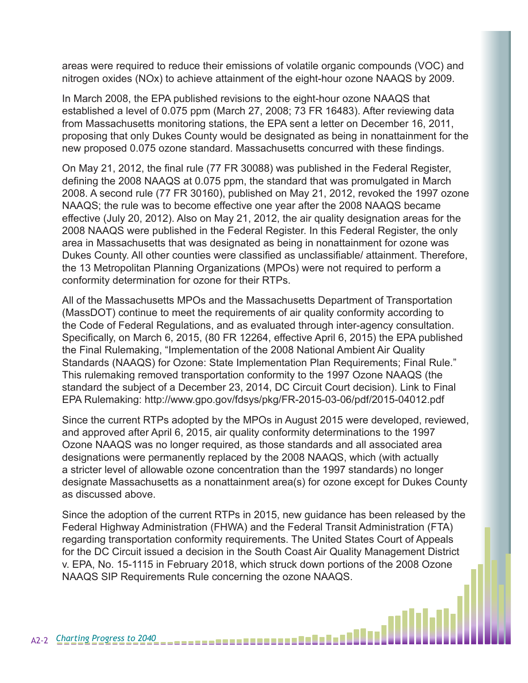areas were required to reduce their emissions of volatile organic compounds (VOC) and nitrogen oxides (NOx) to achieve attainment of the eight-hour ozone NAAQS by 2009.

In March 2008, the EPA published revisions to the eight-hour ozone NAAQS that established a level of 0.075 ppm (March 27, 2008; 73 FR 16483). After reviewing data from Massachusetts monitoring stations, the EPA sent a letter on December 16, 2011, proposing that only Dukes County would be designated as being in nonattainment for the new proposed 0.075 ozone standard. Massachusetts concurred with these findings.

On May 21, 2012, the final rule (77 FR 30088) was published in the Federal Register, defining the 2008 NAAQS at 0.075 ppm, the standard that was promulgated in March 2008. A second rule (77 FR 30160), published on May 21, 2012, revoked the 1997 ozone NAAQS; the rule was to become effective one year after the 2008 NAAQS became effective (July 20, 2012). Also on May 21, 2012, the air quality designation areas for the 2008 NAAQS were published in the Federal Register. In this Federal Register, the only area in Massachusetts that was designated as being in nonattainment for ozone was Dukes County. All other counties were classified as unclassifiable/ attainment. Therefore, the 13 Metropolitan Planning Organizations (MPOs) were not required to perform a conformity determination for ozone for their RTPs.

All of the Massachusetts MPOs and the Massachusetts Department of Transportation (MassDOT) continue to meet the requirements of air quality conformity according to the Code of Federal Regulations, and as evaluated through inter-agency consultation. Specifically, on March 6, 2015, (80 FR 12264, effective April 6, 2015) the EPA published the Final Rulemaking, "Implementation of the 2008 National Ambient Air Quality Standards (NAAQS) for Ozone: State Implementation Plan Requirements; Final Rule." This rulemaking removed transportation conformity to the 1997 Ozone NAAQS (the standard the subject of a December 23, 2014, DC Circuit Court decision). Link to Final EPA Rulemaking: http://www.gpo.gov/fdsys/pkg/FR-2015-03-06/pdf/2015-04012.pdf

Since the current RTPs adopted by the MPOs in August 2015 were developed, reviewed, and approved after April 6, 2015, air quality conformity determinations to the 1997 Ozone NAAQS was no longer required, as those standards and all associated area designations were permanently replaced by the 2008 NAAQS, which (with actually a stricter level of allowable ozone concentration than the 1997 standards) no longer designate Massachusetts as a nonattainment area(s) for ozone except for Dukes County as discussed above.

Since the adoption of the current RTPs in 2015, new guidance has been released by the Federal Highway Administration (FHWA) and the Federal Transit Administration (FTA) regarding transportation conformity requirements. The United States Court of Appeals for the DC Circuit issued a decision in the South Coast Air Quality Management District v. EPA, No. 15-1115 in February 2018, which struck down portions of the 2008 Ozone NAAQS SIP Requirements Rule concerning the ozone NAAQS.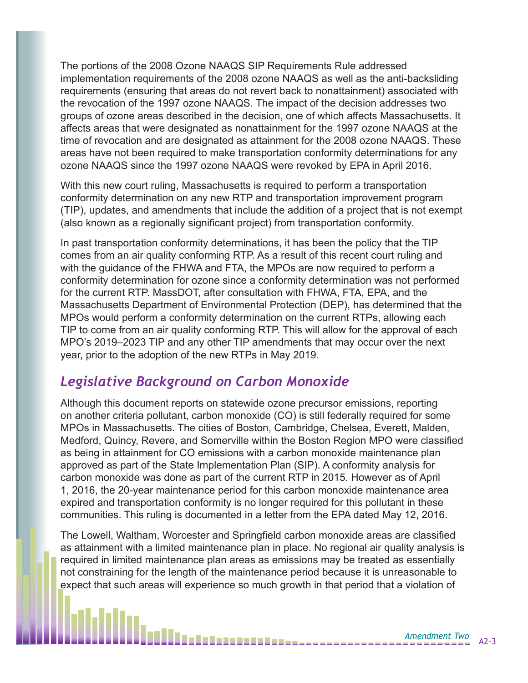The portions of the 2008 Ozone NAAQS SIP Requirements Rule addressed implementation requirements of the 2008 ozone NAAQS as well as the anti-backsliding requirements (ensuring that areas do not revert back to nonattainment) associated with the revocation of the 1997 ozone NAAQS. The impact of the decision addresses two groups of ozone areas described in the decision, one of which affects Massachusetts. It affects areas that were designated as nonattainment for the 1997 ozone NAAQS at the time of revocation and are designated as attainment for the 2008 ozone NAAQS. These areas have not been required to make transportation conformity determinations for any ozone NAAQS since the 1997 ozone NAAQS were revoked by EPA in April 2016.

With this new court ruling, Massachusetts is required to perform a transportation conformity determination on any new RTP and transportation improvement program (TIP), updates, and amendments that include the addition of a project that is not exempt (also known as a regionally significant project) from transportation conformity.

In past transportation conformity determinations, it has been the policy that the TIP comes from an air quality conforming RTP. As a result of this recent court ruling and with the guidance of the FHWA and FTA, the MPOs are now required to perform a conformity determination for ozone since a conformity determination was not performed for the current RTP. MassDOT, after consultation with FHWA, FTA, EPA, and the Massachusetts Department of Environmental Protection (DEP), has determined that the MPOs would perform a conformity determination on the current RTPs, allowing each TIP to come from an air quality conforming RTP. This will allow for the approval of each MPO's 2019–2023 TIP and any other TIP amendments that may occur over the next year, prior to the adoption of the new RTPs in May 2019.

### *Legislative Background on Carbon Monoxide*

Although this document reports on statewide ozone precursor emissions, reporting on another criteria pollutant, carbon monoxide (CO) is still federally required for some MPOs in Massachusetts. The cities of Boston, Cambridge, Chelsea, Everett, Malden, Medford, Quincy, Revere, and Somerville within the Boston Region MPO were classified as being in attainment for CO emissions with a carbon monoxide maintenance plan approved as part of the State Implementation Plan (SIP). A conformity analysis for carbon monoxide was done as part of the current RTP in 2015. However as of April 1, 2016, the 20-year maintenance period for this carbon monoxide maintenance area expired and transportation conformity is no longer required for this pollutant in these communities. This ruling is documented in a letter from the EPA dated May 12, 2016.

The Lowell, Waltham, Worcester and Springfield carbon monoxide areas are classified as attainment with a limited maintenance plan in place. No regional air quality analysis is required in limited maintenance plan areas as emissions may be treated as essentially not constraining for the length of the maintenance period because it is unreasonable to expect that such areas will experience so much growth in that period that a violation of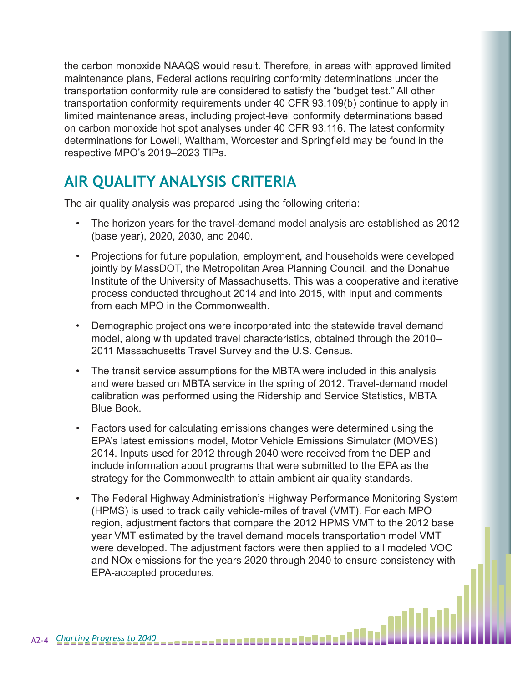the carbon monoxide NAAQS would result. Therefore, in areas with approved limited maintenance plans, Federal actions requiring conformity determinations under the transportation conformity rule are considered to satisfy the "budget test." All other transportation conformity requirements under 40 CFR 93.109(b) continue to apply in limited maintenance areas, including project-level conformity determinations based on carbon monoxide hot spot analyses under 40 CFR 93.116. The latest conformity determinations for Lowell, Waltham, Worcester and Springfield may be found in the respective MPO's 2019–2023 TIPs.

# **AIR QUALITY ANALYSIS CRITERIA**

The air quality analysis was prepared using the following criteria:

- The horizon years for the travel-demand model analysis are established as 2012 (base year), 2020, 2030, and 2040.
- Projections for future population, employment, and households were developed jointly by MassDOT, the Metropolitan Area Planning Council, and the Donahue Institute of the University of Massachusetts. This was a cooperative and iterative process conducted throughout 2014 and into 2015, with input and comments from each MPO in the Commonwealth.
- Demographic projections were incorporated into the statewide travel demand model, along with updated travel characteristics, obtained through the 2010– 2011 Massachusetts Travel Survey and the U.S. Census.
- The transit service assumptions for the MBTA were included in this analysis and were based on MBTA service in the spring of 2012. Travel-demand model calibration was performed using the Ridership and Service Statistics, MBTA Blue Book.
- Factors used for calculating emissions changes were determined using the EPA's latest emissions model, Motor Vehicle Emissions Simulator (MOVES) 2014. Inputs used for 2012 through 2040 were received from the DEP and include information about programs that were submitted to the EPA as the strategy for the Commonwealth to attain ambient air quality standards.
- The Federal Highway Administration's Highway Performance Monitoring System (HPMS) is used to track daily vehicle-miles of travel (VMT). For each MPO region, adjustment factors that compare the 2012 HPMS VMT to the 2012 base year VMT estimated by the travel demand models transportation model VMT were developed. The adjustment factors were then applied to all modeled VOC and NOx emissions for the years 2020 through 2040 to ensure consistency with EPA-accepted procedures.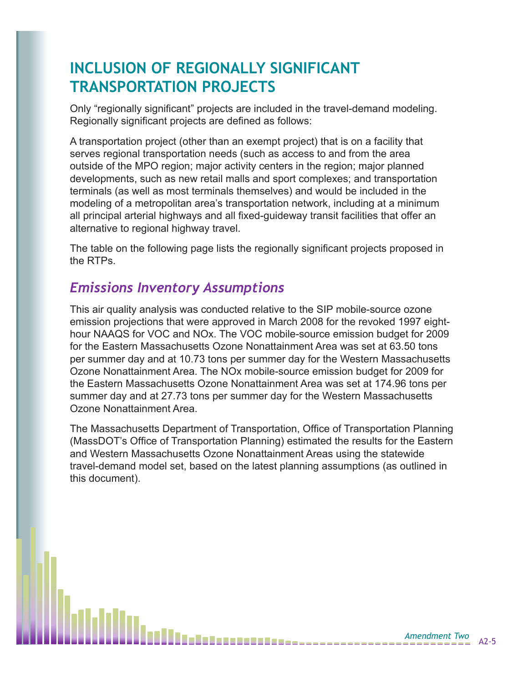# **INCLUSION OF REGIONALLY SIGNIFICANT TRANSPORTATION PROJECTS**

Only "regionally significant" projects are included in the travel-demand modeling. Regionally significant projects are defined as follows:

A transportation project (other than an exempt project) that is on a facility that serves regional transportation needs (such as access to and from the area outside of the MPO region; major activity centers in the region; major planned developments, such as new retail malls and sport complexes; and transportation terminals (as well as most terminals themselves) and would be included in the modeling of a metropolitan area's transportation network, including at a minimum all principal arterial highways and all fixed-guideway transit facilities that offer an alternative to regional highway travel.

The table on the following page lists the regionally significant projects proposed in the RTPs.

## *Emissions Inventory Assumptions*

This air quality analysis was conducted relative to the SIP mobile-source ozone emission projections that were approved in March 2008 for the revoked 1997 eighthour NAAQS for VOC and NOx. The VOC mobile-source emission budget for 2009 for the Eastern Massachusetts Ozone Nonattainment Area was set at 63.50 tons per summer day and at 10.73 tons per summer day for the Western Massachusetts Ozone Nonattainment Area. The NOx mobile-source emission budget for 2009 for the Eastern Massachusetts Ozone Nonattainment Area was set at 174.96 tons per summer day and at 27.73 tons per summer day for the Western Massachusetts Ozone Nonattainment Area.

The Massachusetts Department of Transportation, Office of Transportation Planning (MassDOT's Office of Transportation Planning) estimated the results for the Eastern and Western Massachusetts Ozone Nonattainment Areas using the statewide travel-demand model set, based on the latest planning assumptions (as outlined in this document).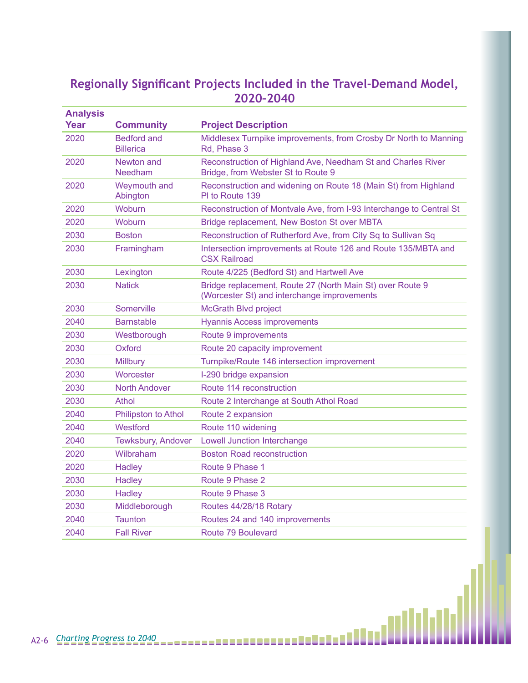#### **Regionally Significant Projects Included in the Travel-Demand Model, 2020–2040**

| <b>Analysis</b> |                                        |                                                                                                          |  |
|-----------------|----------------------------------------|----------------------------------------------------------------------------------------------------------|--|
| Year            | <b>Community</b>                       | <b>Project Description</b>                                                                               |  |
| 2020            | <b>Bedford and</b><br><b>Billerica</b> | Middlesex Turnpike improvements, from Crosby Dr North to Manning<br>Rd, Phase 3                          |  |
| 2020            | Newton and<br>Needham                  | Reconstruction of Highland Ave, Needham St and Charles River<br>Bridge, from Webster St to Route 9       |  |
| 2020            | Weymouth and<br>Abington               | Reconstruction and widening on Route 18 (Main St) from Highland<br>PI to Route 139                       |  |
| 2020            | <b>Woburn</b>                          | Reconstruction of Montvale Ave, from I-93 Interchange to Central St                                      |  |
| 2020            | Woburn                                 | Bridge replacement, New Boston St over MBTA                                                              |  |
| 2030            | <b>Boston</b>                          | Reconstruction of Rutherford Ave, from City Sq to Sullivan Sq                                            |  |
| 2030            | Framingham                             | Intersection improvements at Route 126 and Route 135/MBTA and<br><b>CSX Railroad</b>                     |  |
| 2030            | Lexington                              | Route 4/225 (Bedford St) and Hartwell Ave                                                                |  |
| 2030            | <b>Natick</b>                          | Bridge replacement, Route 27 (North Main St) over Route 9<br>(Worcester St) and interchange improvements |  |
| 2030            | Somerville                             | <b>McGrath Blvd project</b>                                                                              |  |
| 2040            | <b>Barnstable</b>                      | <b>Hyannis Access improvements</b>                                                                       |  |
| 2030            | Westborough                            | Route 9 improvements                                                                                     |  |
| 2030            | Oxford                                 | Route 20 capacity improvement                                                                            |  |
| 2030            | <b>Millbury</b>                        | Turnpike/Route 146 intersection improvement                                                              |  |
| 2030            | Worcester                              | I-290 bridge expansion                                                                                   |  |
| 2030            | North Andover                          | Route 114 reconstruction                                                                                 |  |
| 2030            | Athol                                  | Route 2 Interchange at South Athol Road                                                                  |  |
| 2040            | Philipston to Athol                    | Route 2 expansion                                                                                        |  |
| 2040            | Westford                               | Route 110 widening                                                                                       |  |
| 2040            | Tewksbury, Andover                     | <b>Lowell Junction Interchange</b>                                                                       |  |
| 2020            | Wilbraham                              | <b>Boston Road reconstruction</b>                                                                        |  |
| 2020            | <b>Hadley</b>                          | Route 9 Phase 1                                                                                          |  |
| 2030            | <b>Hadley</b>                          | Route 9 Phase 2                                                                                          |  |
| 2030            | <b>Hadley</b>                          | Route 9 Phase 3                                                                                          |  |
| 2030            | Middleborough                          | Routes 44/28/18 Rotary                                                                                   |  |
| 2040            | <b>Taunton</b>                         | Routes 24 and 140 improvements                                                                           |  |
| 2040            | <b>Fall River</b>                      | Route 79 Boulevard                                                                                       |  |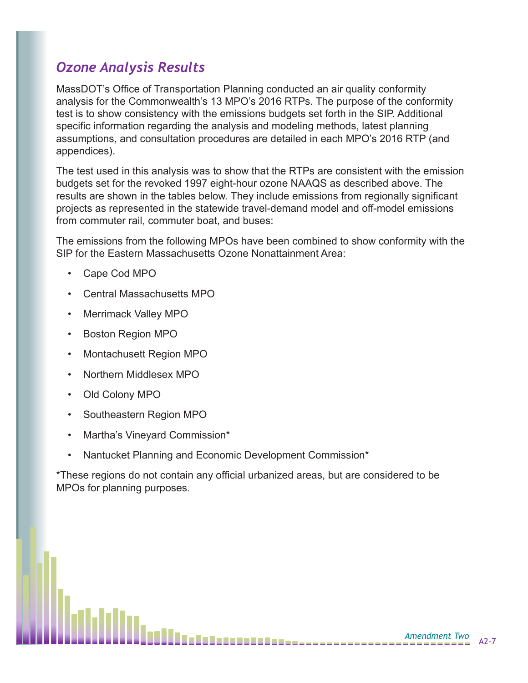## *Ozone Analysis Results*

MassDOT's Office of Transportation Planning conducted an air quality conformity analysis for the Commonwealth's 13 MPO's 2016 RTPs. The purpose of the conformity test is to show consistency with the emissions budgets set forth in the SIP. Additional specific information regarding the analysis and modeling methods, latest planning assumptions, and consultation procedures are detailed in each MPO's 2016 RTP (and appendices).

The test used in this analysis was to show that the RTPs are consistent with the emission budgets set for the revoked 1997 eight-hour ozone NAAQS as described above. The results are shown in the tables below. They include emissions from regionally significant projects as represented in the statewide travel-demand model and off-model emissions from commuter rail, commuter boat, and buses:

The emissions from the following MPOs have been combined to show conformity with the SIP for the Eastern Massachusetts Ozone Nonattainment Area:

- Cape Cod MPO
- Central Massachusetts MPO
- Merrimack Valley MPO
- Boston Region MPO
- Montachusett Region MPO
- Northern Middlesex MPO
- Old Colony MPO
- Southeastern Region MPO
- Martha's Vineyard Commission\*
- Nantucket Planning and Economic Development Commission\*

\*These regions do not contain any official urbanized areas, but are considered to be MPOs for planning purposes.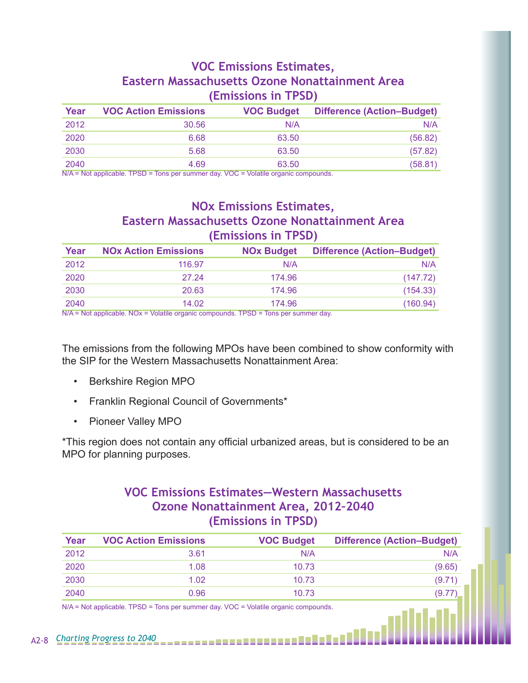#### **VOC Emissions Estimates, Eastern Massachusetts Ozone Nonattainment Area (Emissions in TPSD)**

| Year | <b>VOC Action Emissions</b> | <b>VOC Budget</b> | <b>Difference (Action-Budget)</b> |
|------|-----------------------------|-------------------|-----------------------------------|
| 2012 | 30.56                       | N/A               | N/A                               |
| 2020 | 6.68                        | 63.50             | (56.82)                           |
| 2030 | 5.68                        | 63.50             | (57.82)                           |
| 2040 | 4.69                        | 63.50             | (58.81)                           |

N/A = Not applicable. TPSD = Tons per summer day. VOC = Volatile organic compounds.

## **NOx Emissions Estimates, Eastern Massachusetts Ozone Nonattainment Area (Emissions in TPSD)**

| Year | <b>NOx Action Emissions</b> | <b>NOx Budget</b> | <b>Difference (Action-Budget)</b> |
|------|-----------------------------|-------------------|-----------------------------------|
| 2012 | 116.97                      | N/A               | N/A                               |
| 2020 | 27.24                       | 174.96            | (147.72)                          |
| 2030 | 20.63                       | 174.96            | (154.33)                          |
| 2040 | 14.02                       | 174.96            | (160.94)                          |

N/A = Not applicable. NOx = Volatile organic compounds. TPSD = Tons per summer day.

The emissions from the following MPOs have been combined to show conformity with the SIP for the Western Massachusetts Nonattainment Area:

- Berkshire Region MPO
- Franklin Regional Council of Governments\*
- Pioneer Valley MPO

\*This region does not contain any official urbanized areas, but is considered to be an MPO for planning purposes.

#### **VOC Emissions Estimates—Western Massachusetts Ozone Nonattainment Area, 2012–2040 (Emissions in TPSD)**

| Year | <b>VOC Action Emissions</b> | <b>VOC Budget</b> | <b>Difference (Action-Budget)</b> |
|------|-----------------------------|-------------------|-----------------------------------|
| 2012 | 3.61                        | N/A               | N/A                               |
| 2020 | 1.08                        | 10.73             | (9.65)                            |
| 2030 | 1.02                        | 10.73             | (9.71)                            |
| 2040 | 0.96                        | 10.73             | (9.77)                            |

N/A = Not applicable. TPSD = Tons per summer day. VOC = Volatile organic compounds.